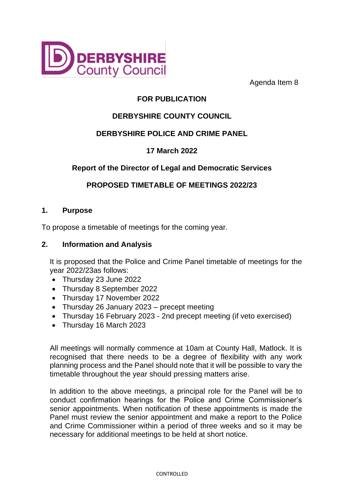

Agenda Item 8

# **FOR PUBLICATION**

# **DERBYSHIRE COUNTY COUNCIL**

## **DERBYSHIRE POLICE AND CRIME PANEL**

## **17 March 2022**

## **Report of the Director of Legal and Democratic Services**

### **PROPOSED TIMETABLE OF MEETINGS 2022/23**

#### **1. Purpose**

To propose a timetable of meetings for the coming year.

#### **2. Information and Analysis**

It is proposed that the Police and Crime Panel timetable of meetings for the year 2022/23as follows:

- Thursday 23 June 2022
- Thursday 8 September 2022
- Thursday 17 November 2022
- Thursday 26 January 2023 precept meeting
- Thursday 16 February 2023 2nd precept meeting (if veto exercised)
- Thursday 16 March 2023

All meetings will normally commence at 10am at County Hall, Matlock. It is recognised that there needs to be a degree of flexibility with any work planning process and the Panel should note that it will be possible to vary the timetable throughout the year should pressing matters arise.

In addition to the above meetings, a principal role for the Panel will be to conduct confirmation hearings for the Police and Crime Commissioner's senior appointments. When notification of these appointments is made the Panel must review the senior appointment and make a report to the Police and Crime Commissioner within a period of three weeks and so it may be necessary for additional meetings to be held at short notice.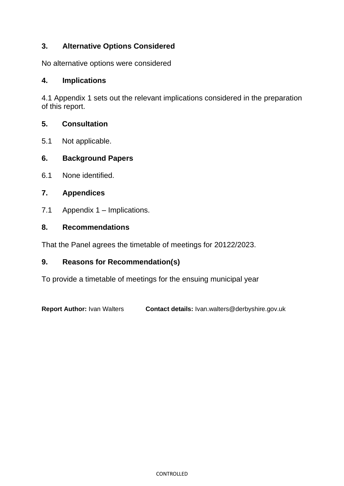### **3. Alternative Options Considered**

No alternative options were considered

#### **4. Implications**

4.1 Appendix 1 sets out the relevant implications considered in the preparation of this report.

#### **5. Consultation**

5.1 Not applicable.

#### **6. Background Papers**

6.1 None identified.

#### **7. Appendices**

7.1 Appendix 1 – Implications.

#### **8. Recommendations**

That the Panel agrees the timetable of meetings for 20122/2023.

#### **9. Reasons for Recommendation(s)**

To provide a timetable of meetings for the ensuing municipal year

**Report Author:** Ivan Walters **Contact details:** Ivan.walters@derbyshire.gov.uk